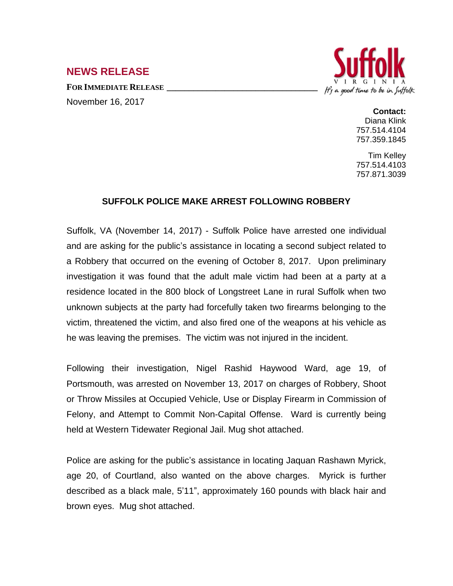## **NEWS RELEASE**

**FOR IMMEDIATE RELEASE \_\_\_\_\_\_\_\_\_\_\_\_\_\_\_\_\_\_\_\_\_\_\_\_\_\_\_\_\_\_\_\_\_\_** November 16, 2017



**Contact:** Diana Klink 757.514.4104 757.359.1845

Tim Kelley 757.514.4103 757.871.3039

## **SUFFOLK POLICE MAKE ARREST FOLLOWING ROBBERY**

Suffolk, VA (November 14, 2017) - Suffolk Police have arrested one individual and are asking for the public's assistance in locating a second subject related to a Robbery that occurred on the evening of October 8, 2017. Upon preliminary investigation it was found that the adult male victim had been at a party at a residence located in the 800 block of Longstreet Lane in rural Suffolk when two unknown subjects at the party had forcefully taken two firearms belonging to the victim, threatened the victim, and also fired one of the weapons at his vehicle as he was leaving the premises. The victim was not injured in the incident.

Following their investigation, Nigel Rashid Haywood Ward, age 19, of Portsmouth, was arrested on November 13, 2017 on charges of Robbery, Shoot or Throw Missiles at Occupied Vehicle, Use or Display Firearm in Commission of Felony, and Attempt to Commit Non-Capital Offense. Ward is currently being held at Western Tidewater Regional Jail. Mug shot attached.

Police are asking for the public's assistance in locating Jaquan Rashawn Myrick, age 20, of Courtland, also wanted on the above charges. Myrick is further described as a black male, 5'11", approximately 160 pounds with black hair and brown eyes. Mug shot attached.